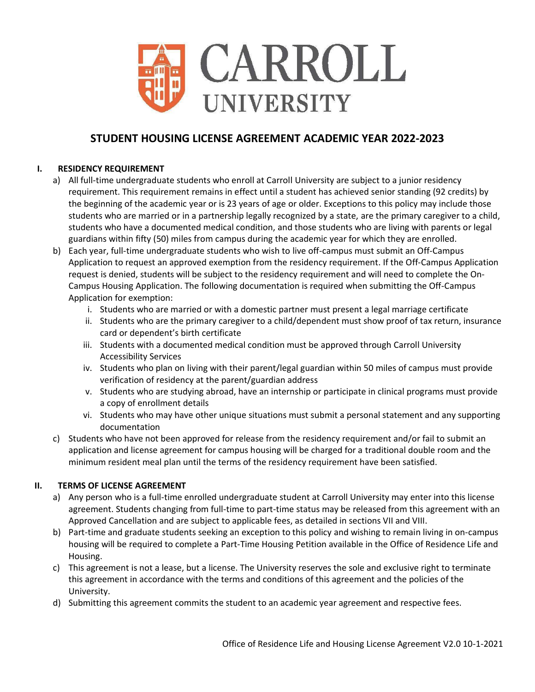

# **STUDENT HOUSING LICENSE AGREEMENT ACADEMIC YEAR 2022-2023**

## **I. RESIDENCY REQUIREMENT**

- a) All full-time undergraduate students who enroll at Carroll University are subject to a junior residency requirement. This requirement remains in effect until a student has achieved senior standing (92 credits) by the beginning of the academic year or is 23 years of age or older. Exceptions to this policy may include those students who are married or in a partnership legally recognized by a state, are the primary caregiver to a child, students who have a documented medical condition, and those students who are living with parents or legal guardians within fifty (50) miles from campus during the academic year for which they are enrolled.
- b) Each year, full-time undergraduate students who wish to live off-campus must submit an Off-Campus Application to request an approved exemption from the residency requirement. If the Off-Campus Application request is denied, students will be subject to the residency requirement and will need to complete the On-Campus Housing Application. The following documentation is required when submitting the Off-Campus Application for exemption:
	- i. Students who are married or with a domestic partner must present a legal marriage certificate
	- ii. Students who are the primary caregiver to a child/dependent must show proof of tax return, insurance card or dependent's birth certificate
	- iii. Students with a documented medical condition must be approved through Carroll University Accessibility Services
	- iv. Students who plan on living with their parent/legal guardian within 50 miles of campus must provide verification of residency at the parent/guardian address
	- v. Students who are studying abroad, have an internship or participate in clinical programs must provide a copy of enrollment details
	- vi. Students who may have other unique situations must submit a personal statement and any supporting documentation
- c) Students who have not been approved for release from the residency requirement and/or fail to submit an application and license agreement for campus housing will be charged for a traditional double room and the minimum resident meal plan until the terms of the residency requirement have been satisfied.

## **II. TERMS OF LICENSE AGREEMENT**

- a) Any person who is a full-time enrolled undergraduate student at Carroll University may enter into this license agreement. Students changing from full-time to part-time status may be released from this agreement with an Approved Cancellation and are subject to applicable fees, as detailed in sections VII and VIII.
- b) Part-time and graduate students seeking an exception to this policy and wishing to remain living in on-campus housing will be required to complete a Part-Time Housing Petition available in the Office of Residence Life and Housing.
- c) This agreement is not a lease, but a license. The University reserves the sole and exclusive right to terminate this agreement in accordance with the terms and conditions of this agreement and the policies of the University.
- d) Submitting this agreement commits the student to an academic year agreement and respective fees.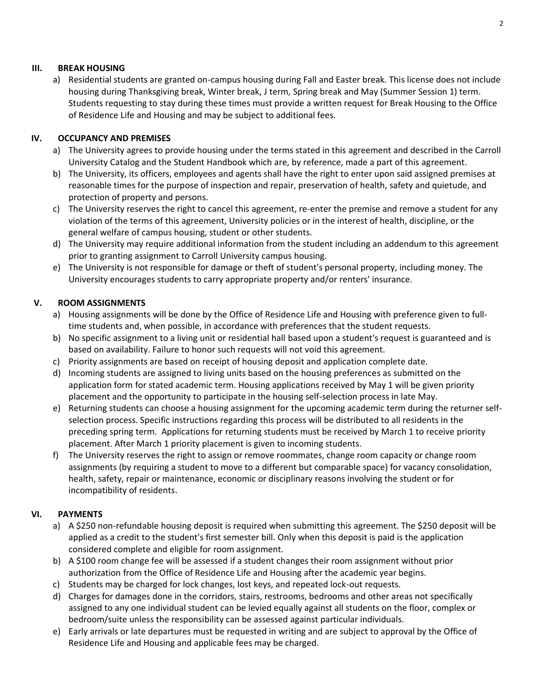### **III. BREAK HOUSING**

a) Residential students are granted on-campus housing during Fall and Easter break. This license does not include housing during Thanksgiving break, Winter break, J term, Spring break and May (Summer Session 1) term. Students requesting to stay during these times must provide a written request for Break Housing to the Office of Residence Life and Housing and may be subject to additional fees.

### **IV. OCCUPANCY AND PREMISES**

- a) The University agrees to provide housing under the terms stated in this agreement and described in the Carroll University Catalog and the Student Handbook which are, by reference, made a part of this agreement.
- b) The University, its officers, employees and agents shall have the right to enter upon said assigned premises at reasonable times for the purpose of inspection and repair, preservation of health, safety and quietude, and protection of property and persons.
- c) The University reserves the right to cancel this agreement, re-enter the premise and remove a student for any violation of the terms of this agreement, University policies or in the interest of health, discipline, or the general welfare of campus housing, student or other students.
- d) The University may require additional information from the student including an addendum to this agreement prior to granting assignment to Carroll University campus housing.
- e) The University is not responsible for damage or theft of student's personal property, including money. The University encourages students to carry appropriate property and/or renters' insurance.

### **V. ROOM ASSIGNMENTS**

- a) Housing assignments will be done by the Office of Residence Life and Housing with preference given to fulltime students and, when possible, in accordance with preferences that the student requests.
- b) No specific assignment to a living unit or residential hall based upon a student's request is guaranteed and is based on availability. Failure to honor such requests will not void this agreement.
- c) Priority assignments are based on receipt of housing deposit and application complete date.
- d) Incoming students are assigned to living units based on the housing preferences as submitted on the application form for stated academic term. Housing applications received by May 1 will be given priority placement and the opportunity to participate in the housing self-selection process in late May.
- e) Returning students can choose a housing assignment for the upcoming academic term during the returner selfselection process. Specific instructions regarding this process will be distributed to all residents in the preceding spring term. Applications for returning students must be received by March 1 to receive priority placement. After March 1 priority placement is given to incoming students.
- f) The University reserves the right to assign or remove roommates, change room capacity or change room assignments (by requiring a student to move to a different but comparable space) for vacancy consolidation, health, safety, repair or maintenance, economic or disciplinary reasons involving the student or for incompatibility of residents.

## **VI. PAYMENTS**

- a) A \$250 non-refundable housing deposit is required when submitting this agreement. The \$250 deposit will be applied as a credit to the student's first semester bill. Only when this deposit is paid is the application considered complete and eligible for room assignment.
- b) A \$100 room change fee will be assessed if a student changes their room assignment without prior authorization from the Office of Residence Life and Housing after the academic year begins.
- c) Students may be charged for lock changes, lost keys, and repeated lock-out requests.
- d) Charges for damages done in the corridors, stairs, restrooms, bedrooms and other areas not specifically assigned to any one individual student can be levied equally against all students on the floor, complex or bedroom/suite unless the responsibility can be assessed against particular individuals.
- e) Early arrivals or late departures must be requested in writing and are subject to approval by the Office of Residence Life and Housing and applicable fees may be charged.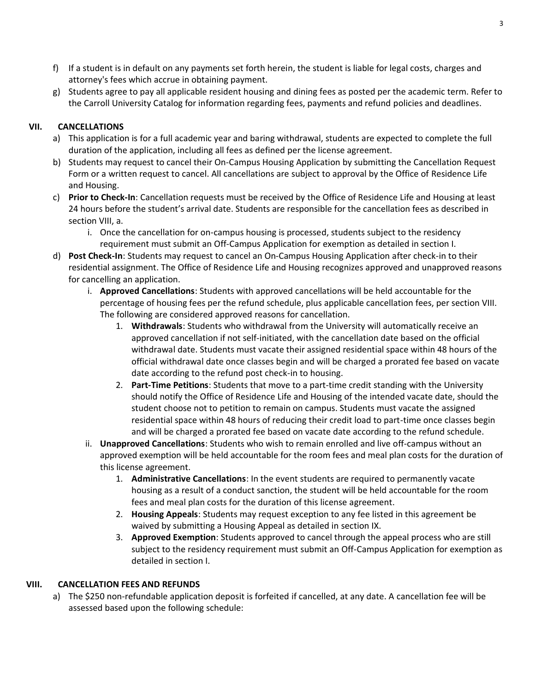- f) If a student is in default on any payments set forth herein, the student is liable for legal costs, charges and attorney's fees which accrue in obtaining payment.
- g) Students agree to pay all applicable resident housing and dining fees as posted per the academic term. Refer to the Carroll University Catalog for information regarding fees, payments and refund policies and deadlines.

# **VII. CANCELLATIONS**

- a) This application is for a full academic year and baring withdrawal, students are expected to complete the full duration of the application, including all fees as defined per the license agreement.
- b) Students may request to cancel their On-Campus Housing Application by submitting the Cancellation Request Form or a written request to cancel. All cancellations are subject to approval by the Office of Residence Life and Housing.
- c) **Prior to Check-In**: Cancellation requests must be received by the Office of Residence Life and Housing at least 24 hours before the student's arrival date. Students are responsible for the cancellation fees as described in section VIII, a.
	- i. Once the cancellation for on-campus housing is processed, students subject to the residency requirement must submit an Off-Campus Application for exemption as detailed in section I.
- d) **Post Check-In**: Students may request to cancel an On-Campus Housing Application after check-in to their residential assignment. The Office of Residence Life and Housing recognizes approved and unapproved reasons for cancelling an application.
	- i. **Approved Cancellations**: Students with approved cancellations will be held accountable for the percentage of housing fees per the refund schedule, plus applicable cancellation fees, per section VIII. The following are considered approved reasons for cancellation.
		- 1. **Withdrawals**: Students who withdrawal from the University will automatically receive an approved cancellation if not self-initiated, with the cancellation date based on the official withdrawal date. Students must vacate their assigned residential space within 48 hours of the official withdrawal date once classes begin and will be charged a prorated fee based on vacate date according to the refund post check-in to housing.
		- 2. **Part-Time Petitions**: Students that move to a part-time credit standing with the University should notify the Office of Residence Life and Housing of the intended vacate date, should the student choose not to petition to remain on campus. Students must vacate the assigned residential space within 48 hours of reducing their credit load to part-time once classes begin and will be charged a prorated fee based on vacate date according to the refund schedule.
	- ii. **Unapproved Cancellations**: Students who wish to remain enrolled and live off-campus without an approved exemption will be held accountable for the room fees and meal plan costs for the duration of this license agreement.
		- 1. **Administrative Cancellations**: In the event students are required to permanently vacate housing as a result of a conduct sanction, the student will be held accountable for the room fees and meal plan costs for the duration of this license agreement.
		- 2. **Housing Appeals**: Students may request exception to any fee listed in this agreement be waived by submitting a Housing Appeal as detailed in section IX.
		- 3. **Approved Exemption**: Students approved to cancel through the appeal process who are still subject to the residency requirement must submit an Off-Campus Application for exemption as detailed in section I.

## **VIII. CANCELLATION FEES AND REFUNDS**

a) The \$250 non-refundable application deposit is forfeited if cancelled, at any date. A cancellation fee will be assessed based upon the following schedule: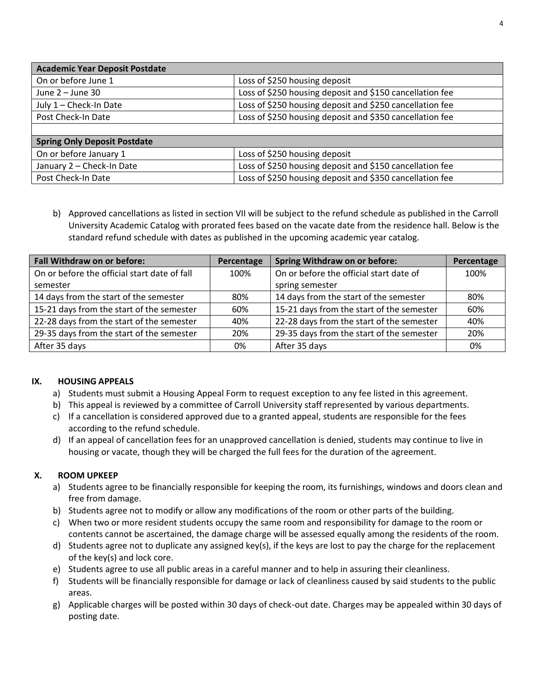| <b>Academic Year Deposit Postdate</b> |                                                          |  |  |
|---------------------------------------|----------------------------------------------------------|--|--|
| On or before June 1                   | Loss of \$250 housing deposit                            |  |  |
| June $2 -$ June 30                    | Loss of \$250 housing deposit and \$150 cancellation fee |  |  |
| July 1 - Check-In Date                | Loss of \$250 housing deposit and \$250 cancellation fee |  |  |
| Post Check-In Date                    | Loss of \$250 housing deposit and \$350 cancellation fee |  |  |
|                                       |                                                          |  |  |
| <b>Spring Only Deposit Postdate</b>   |                                                          |  |  |
| On or before January 1                | Loss of \$250 housing deposit                            |  |  |
| January 2 - Check-In Date             | Loss of \$250 housing deposit and \$150 cancellation fee |  |  |
| Post Check-In Date                    | Loss of \$250 housing deposit and \$350 cancellation fee |  |  |

b) Approved cancellations as listed in section VII will be subject to the refund schedule as published in the Carroll University Academic Catalog with prorated fees based on the vacate date from the residence hall. Below is the standard refund schedule with dates as published in the upcoming academic year catalog.

| <b>Fall Withdraw on or before:</b>           | Percentage | <b>Spring Withdraw on or before:</b>      | Percentage |
|----------------------------------------------|------------|-------------------------------------------|------------|
| On or before the official start date of fall | 100%       | On or before the official start date of   | 100%       |
| semester                                     |            | spring semester                           |            |
| 14 days from the start of the semester       | 80%        | 14 days from the start of the semester    | 80%        |
| 15-21 days from the start of the semester    | 60%        | 15-21 days from the start of the semester | 60%        |
| 22-28 days from the start of the semester    | 40%        | 22-28 days from the start of the semester | 40%        |
| 29-35 days from the start of the semester    | 20%        | 29-35 days from the start of the semester | 20%        |
| After 35 days                                | 0%         | After 35 days                             | 0%         |

## **IX. HOUSING APPEALS**

- a) Students must submit a Housing Appeal Form to request exception to any fee listed in this agreement.
- b) This appeal is reviewed by a committee of Carroll University staff represented by various departments.
- c) If a cancellation is considered approved due to a granted appeal, students are responsible for the fees according to the refund schedule.
- d) If an appeal of cancellation fees for an unapproved cancellation is denied, students may continue to live in housing or vacate, though they will be charged the full fees for the duration of the agreement.

## **X. ROOM UPKEEP**

- a) Students agree to be financially responsible for keeping the room, its furnishings, windows and doors clean and free from damage.
- b) Students agree not to modify or allow any modifications of the room or other parts of the building.
- c) When two or more resident students occupy the same room and responsibility for damage to the room or contents cannot be ascertained, the damage charge will be assessed equally among the residents of the room.
- d) Students agree not to duplicate any assigned key(s), if the keys are lost to pay the charge for the replacement of the key(s) and lock core.
- e) Students agree to use all public areas in a careful manner and to help in assuring their cleanliness.
- f) Students will be financially responsible for damage or lack of cleanliness caused by said students to the public areas.
- g) Applicable charges will be posted within 30 days of check-out date. Charges may be appealed within 30 days of posting date.